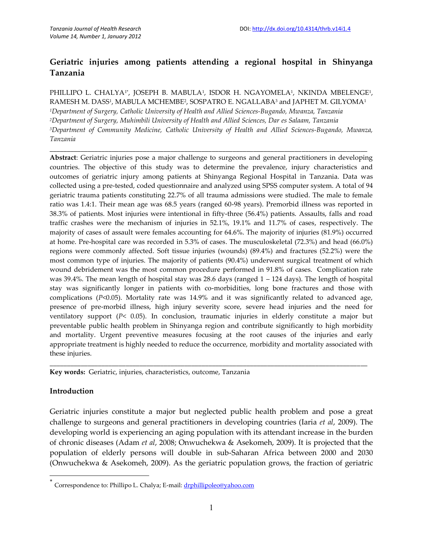# **Geriatric injuries among patients attending a regional hospital in Shinyanga Tanzania**

PHILLIPO L. CHALYA1\*, JOSEPH B. MABULA1, ISDOR H. NGAYOMELA1, NKINDA MBELENGE1, RAMESH M. DASS<sup>1</sup> , MABULA MCHEMBE<sup>2</sup> , SOSPATRO E. NGALLABA<sup>3</sup> and JAPHET M. GILYOMA<sup>1</sup> *<sup>1</sup>Department of Surgery, Catholic University of Health and Allied Sciences-Bugando, Mwanza, Tanzania <sup>2</sup>Department of Surgery, Muhimbili University of Health and Allied Sciences, Dar es Salaam, Tanzania <sup>3</sup>Department of Community Medicine, Catholic University of Health and Allied Sciences-Bugando, Mwanza, Tanzania*

**\_\_\_\_\_\_\_\_\_\_\_\_\_\_\_\_\_\_\_\_\_\_\_\_\_\_\_\_\_\_\_\_\_\_\_\_\_\_\_\_\_\_\_\_\_\_\_\_\_\_\_\_\_\_\_\_\_\_\_\_\_\_\_\_\_\_\_\_\_\_\_\_\_\_\_\_\_\_\_\_\_\_\_\_\_\_\_\_\_\_\_\_**

**Abstract**: Geriatric injuries pose a major challenge to surgeons and general practitioners in developing countries. The objective of this study was to determine the prevalence, injury characteristics and outcomes of geriatric injury among patients at Shinyanga Regional Hospital in Tanzania. Data was collected using a pre-tested, coded questionnaire and analyzed using SPSS computer system. A total of 94 geriatric trauma patients constituting 22.7% of all trauma admissions were studied. The male to female ratio was 1.4:1. Their mean age was 68.5 years (ranged 60-98 years). Premorbid illness was reported in 38.3% of patients. Most injuries were intentional in fifty-three (56.4%) patients. Assaults, falls and road traffic crashes were the mechanism of injuries in 52.1%, 19.1% and 11.7% of cases, respectively. The majority of cases of assault were females accounting for 64.6%. The majority of injuries (81.9%) occurred at home. Pre-hospital care was recorded in 5.3% of cases. The musculoskeletal (72.3%) and head (66.0%) regions were commonly affected. Soft tissue injuries (wounds) (89.4%) and fractures (52.2%) were the most common type of injuries. The majority of patients (90.4%) underwent surgical treatment of which wound debridement was the most common procedure performed in 91.8% of cases. Complication rate was 39.4%. The mean length of hospital stay was 28.6 days (ranged 1 – 124 days). The length of hospital stay was significantly longer in patients with co-morbidities, long bone fractures and those with complications (*P*<0.05). Mortality rate was 14.9% and it was significantly related to advanced age, presence of pre-morbid illness, high injury severity score, severe head injuries and the need for ventilatory support (*P*< 0.05). In conclusion, traumatic injuries in elderly constitute a major but preventable public health problem in Shinyanga region and contribute significantly to high morbidity and mortality. Urgent preventive measures focusing at the root causes of the injuries and early appropriate treatment is highly needed to reduce the occurrence, morbidity and mortality associated with these injuries.

**Key words:** Geriatric, injuries, characteristics, outcome, Tanzania

## **Introduction**

Geriatric injuries constitute a major but neglected public health problem and pose a great challenge to surgeons and general practitioners in developing countries (Iaria *et al*, 2009). The developing world is experiencing an aging population with its attendant increase in the burden of chronic diseases (Adam *et al*, 2008; Onwuchekwa & Asekomeh, 2009). It is projected that the population of elderly persons will double in sub-Saharan Africa between 2000 and 2030 (Onwuchekwa & Asekomeh, 2009). As the geriatric population grows, the fraction of geriatric

\_\_\_\_\_\_\_\_\_\_\_\_\_\_\_\_\_\_\_\_\_\_\_\_\_\_\_\_\_\_\_\_\_\_\_\_\_\_\_\_\_\_\_\_\_\_\_\_\_\_\_\_\_\_\_\_\_\_\_\_\_\_\_\_\_\_\_\_\_\_\_\_\_\_\_\_\_\_\_\_\_\_\_\_\_\_\_\_\_\_\_\_

<sup>\*</sup> Correspondence to: Phillipo L. Chalya; E-mail: drphillipoleo@yahoo.com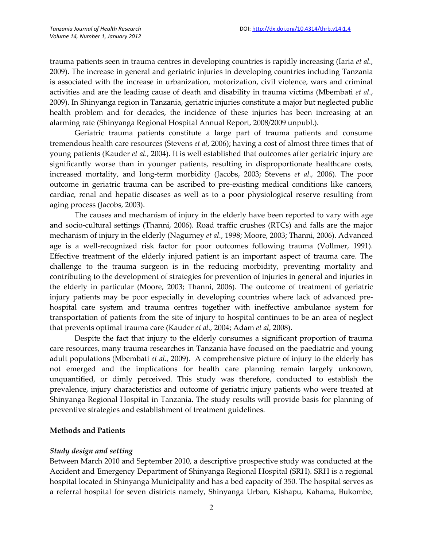trauma patients seen in trauma centres in developing countries is rapidly increasing (Iaria *et al.*, 2009). The increase in general and geriatric injuries in developing countries including Tanzania is associated with the increase in urbanization, motorization, civil violence, wars and criminal activities and are the leading cause of death and disability in trauma victims (Mbembati *et al.*, 2009). In Shinyanga region in Tanzania, geriatric injuries constitute a major but neglected public health problem and for decades, the incidence of these injuries has been increasing at an alarming rate (Shinyanga Regional Hospital Annual Report, 2008/2009 unpubl.).

Geriatric trauma patients constitute a large part of trauma patients and consume tremendous health care resources (Stevens *et al*, 2006); having a cost of almost three times that of young patients (Kauder *et al.,* 2004). It is well established that outcomes after geriatric injury are significantly worse than in younger patients, resulting in disproportionate healthcare costs, increased mortality, and long-term morbidity (Jacobs, 2003; Stevens *et al.,* 2006). The poor outcome in geriatric trauma can be ascribed to pre-existing medical conditions like cancers, cardiac, renal and hepatic diseases as well as to a poor physiological reserve resulting from aging process (Jacobs, 2003).

The causes and mechanism of injury in the elderly have been reported to vary with age and socio-cultural settings (Thanni, 2006). Road traffic crushes (RTCs) and falls are the major mechanism of injury in the elderly (Nagurney *et al.*, 1998; Moore, 2003; Thanni, 2006). Advanced age is a well-recognized risk factor for poor outcomes following trauma (Vollmer, 1991). Effective treatment of the elderly injured patient is an important aspect of trauma care. The challenge to the trauma surgeon is in the reducing morbidity, preventing mortality and contributing to the development of strategies for prevention of injuries in general and injuries in the elderly in particular (Moore, 2003; Thanni, 2006). The outcome of treatment of geriatric injury patients may be poor especially in developing countries where lack of advanced prehospital care system and trauma centres together with ineffective ambulance system for transportation of patients from the site of injury to hospital continues to be an area of neglect that prevents optimal trauma care (Kauder *et al.,* 2004; Adam *et al*, 2008).

Despite the fact that injury to the elderly consumes a significant proportion of trauma care resources, many trauma researches in Tanzania have focused on the paediatric and young adult populations (Mbembati *et al.*, 2009). A comprehensive picture of injury to the elderly has not emerged and the implications for health care planning remain largely unknown, unquantified, or dimly perceived. This study was therefore, conducted to establish the prevalence, injury characteristics and outcome of geriatric injury patients who were treated at Shinyanga Regional Hospital in Tanzania. The study results will provide basis for planning of preventive strategies and establishment of treatment guidelines.

## **Methods and Patients**

## *Study design and setting*

Between March 2010 and September 2010, a descriptive prospective study was conducted at the Accident and Emergency Department of Shinyanga Regional Hospital (SRH). SRH is a regional hospital located in Shinyanga Municipality and has a bed capacity of 350. The hospital serves as a referral hospital for seven districts namely, Shinyanga Urban, Kishapu, Kahama, Bukombe,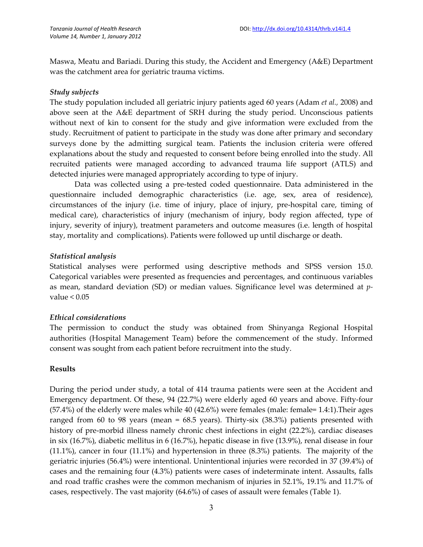Maswa, Meatu and Bariadi. During this study, the Accident and Emergency (A&E) Department was the catchment area for geriatric trauma victims.

#### *Study subjects*

The study population included all geriatric injury patients aged 60 years (Adam *et al.,* 2008) and above seen at the A&E department of SRH during the study period. Unconscious patients without next of kin to consent for the study and give information were excluded from the study. Recruitment of patient to participate in the study was done after primary and secondary surveys done by the admitting surgical team. Patients the inclusion criteria were offered explanations about the study and requested to consent before being enrolled into the study. All recruited patients were managed according to advanced trauma life support (ATLS) and detected injuries were managed appropriately according to type of injury.

Data was collected using a pre-tested coded questionnaire. Data administered in the questionnaire included demographic characteristics (i.e. age, sex, area of residence), circumstances of the injury (i.e. time of injury, place of injury, pre-hospital care, timing of medical care), characteristics of injury (mechanism of injury, body region affected, type of injury, severity of injury), treatment parameters and outcome measures (i.e. length of hospital stay, mortality and complications). Patients were followed up until discharge or death.

## *Statistical analysis*

Statistical analyses were performed using descriptive methods and SPSS version 15.0. Categorical variables were presented as frequencies and percentages, and continuous variables as mean, standard deviation (SD) or median values. Significance level was determined at *p*value  $< 0.05$ 

## *Ethical considerations*

The permission to conduct the study was obtained from Shinyanga Regional Hospital authorities (Hospital Management Team) before the commencement of the study. Informed consent was sought from each patient before recruitment into the study.

#### **Results**

During the period under study, a total of 414 trauma patients were seen at the Accident and Emergency department. Of these, 94 (22.7%) were elderly aged 60 years and above. Fifty-four (57.4%) of the elderly were males while 40 (42.6%) were females (male: female= 1.4:1).Their ages ranged from 60 to 98 years (mean = 68.5 years). Thirty-six (38.3%) patients presented with history of pre-morbid illness namely chronic chest infections in eight (22.2%), cardiac diseases in six (16.7%), diabetic mellitus in 6 (16.7%), hepatic disease in five (13.9%), renal disease in four (11.1%), cancer in four (11.1%) and hypertension in three (8.3%) patients. The majority of the geriatric injuries (56.4%) were intentional. Unintentional injuries were recorded in 37 (39.4%) of cases and the remaining four (4.3%) patients were cases of indeterminate intent. Assaults, falls and road traffic crashes were the common mechanism of injuries in 52.1%, 19.1% and 11.7% of cases, respectively. The vast majority (64.6%) of cases of assault were females (Table 1).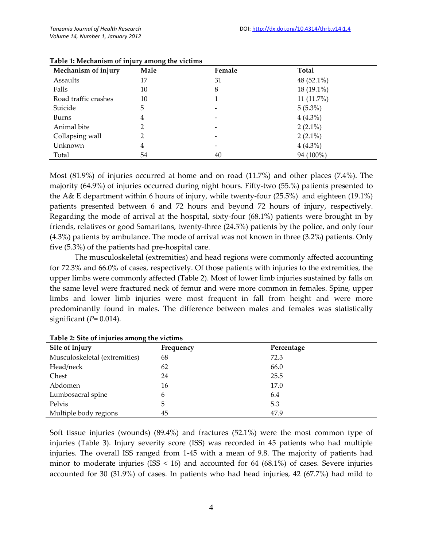| Mechanism of injury  | Male | Female | <b>Total</b> |
|----------------------|------|--------|--------------|
| Assaults             | 17   | 31     | 48 (52.1%)   |
| Falls                | 10   | 8      | 18 (19.1%)   |
| Road traffic crashes | 10   |        | 11 (11.7%)   |
| Suicide              | 5    |        | $5(5.3\%)$   |
| <b>Burns</b>         | 4    |        | $4(4.3\%)$   |
| Animal bite          |      |        | $2(2.1\%)$   |
| Collapsing wall      |      |        | $2(2.1\%)$   |
| Unknown              | 4    |        | $4(4.3\%)$   |
| Total                | 54   | 40     | 94 (100%)    |

**Table 1: Mechanism of injury among the victims**

Most (81.9%) of injuries occurred at home and on road (11.7%) and other places (7.4%). The majority (64.9%) of injuries occurred during night hours. Fifty-two (55.%) patients presented to the A& E department within 6 hours of injury, while twenty-four (25.5%) and eighteen (19.1%) patients presented between 6 and 72 hours and beyond 72 hours of injury, respectively. Regarding the mode of arrival at the hospital, sixty-four (68.1%) patients were brought in by friends, relatives or good Samaritans, twenty-three (24.5%) patients by the police, and only four (4.3%) patients by ambulance. The mode of arrival was not known in three (3.2%) patients. Only five (5.3%) of the patients had pre-hospital care.

The musculoskeletal (extremities) and head regions were commonly affected accounting for 72.3% and 66.0% of cases, respectively. Of those patients with injuries to the extremities, the upper limbs were commonly affected (Table 2). Most of lower limb injuries sustained by falls on the same level were fractured neck of femur and were more common in females. Spine, upper limbs and lower limb injuries were most frequent in fall from height and were more predominantly found in males. The difference between males and females was statistically significant (*P*= 0.014).

| Site of injury                | Frequency | Percentage |
|-------------------------------|-----------|------------|
| Musculoskeletal (extremities) | 68        | 72.3       |
| Head/neck                     | 62        | 66.0       |
| Chest                         | 24        | 25.5       |
| Abdomen                       | 16        | 17.0       |
| Lumbosacral spine             | 6         | 6.4        |
| Pelvis                        | 5         | 5.3        |
| Multiple body regions         | 45        | 47.9       |

**Table 2: Site of injuries among the victims**

Soft tissue injuries (wounds) (89.4%) and fractures (52.1%) were the most common type of injuries (Table 3). Injury severity score (ISS) was recorded in 45 patients who had multiple injuries. The overall ISS ranged from 1-45 with a mean of 9.8. The majority of patients had minor to moderate injuries (ISS  $\leq$  16) and accounted for 64 (68.1%) of cases. Severe injuries accounted for 30 (31.9%) of cases. In patients who had head injuries, 42 (67.7%) had mild to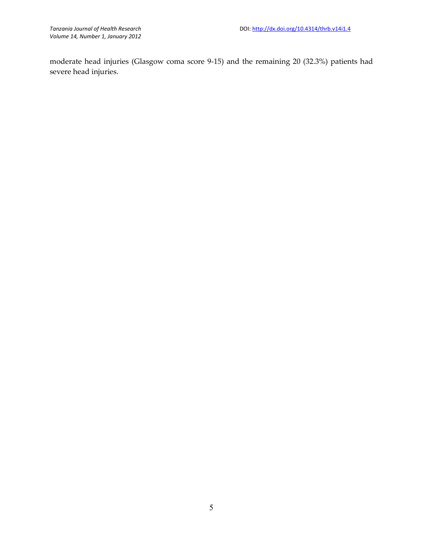moderate head injuries (Glasgow coma score 9-15) and the remaining 20 (32.3%) patients had severe head injuries.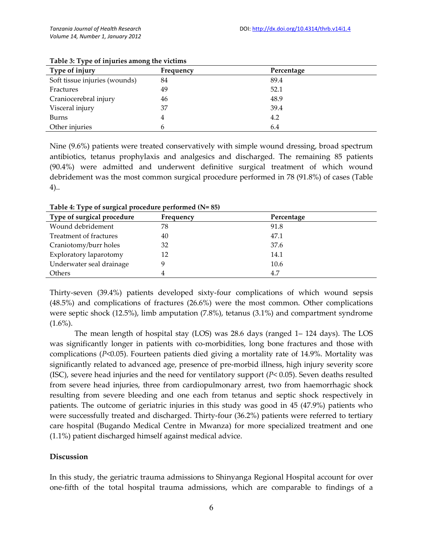| Type of injury                | Frequency | Percentage |
|-------------------------------|-----------|------------|
| Soft tissue injuries (wounds) | 84        | 89.4       |
| Fractures                     | 49        | 52.1       |
| Craniocerebral injury         | 46        | 48.9       |
| Visceral injury               | 37        | 39.4       |
| Burns                         | 4         | 4.2        |
| Other injuries                | h         | 6.4        |

#### **Table 3: Type of injuries among the victims**

Nine (9.6%) patients were treated conservatively with simple wound dressing, broad spectrum antibiotics, tetanus prophylaxis and analgesics and discharged. The remaining 85 patients (90.4%) were admitted and underwent definitive surgical treatment of which wound debridement was the most common surgical procedure performed in 78 (91.8%) of cases (Table 4)..

| Type of surgical procedure | Frequency | Percentage |
|----------------------------|-----------|------------|
| Wound debridement          | 78        | 91.8       |
| Treatment of fractures     | 40        | 47.1       |
| Craniotomy/burr holes      | 32        | 37.6       |
| Exploratory laparotomy     | 12        | 14.1       |
| Underwater seal drainage   | 9         | 10.6       |
| Others                     |           | 4.7        |

**Table 4: Type of surgical procedure performed (N= 85)**

Thirty-seven (39.4%) patients developed sixty-four complications of which wound sepsis (48.5%) and complications of fractures (26.6%) were the most common. Other complications were septic shock (12.5%), limb amputation (7.8%), tetanus (3.1%) and compartment syndrome  $(1.6\%)$ .

The mean length of hospital stay (LOS) was 28.6 days (ranged 1– 124 days). The LOS was significantly longer in patients with co-morbidities, long bone fractures and those with complications (*P*<0.05). Fourteen patients died giving a mortality rate of 14.9%. Mortality was significantly related to advanced age, presence of pre-morbid illness, high injury severity score (ISC), severe head injuries and the need for ventilatory support (*P*< 0.05). Seven deaths resulted from severe head injuries, three from cardiopulmonary arrest, two from haemorrhagic shock resulting from severe bleeding and one each from tetanus and septic shock respectively in patients. The outcome of geriatric injuries in this study was good in 45 (47.9%) patients who were successfully treated and discharged. Thirty-four (36.2%) patients were referred to tertiary care hospital (Bugando Medical Centre in Mwanza) for more specialized treatment and one (1.1%) patient discharged himself against medical advice.

## **Discussion**

In this study, the geriatric trauma admissions to Shinyanga Regional Hospital account for over one-fifth of the total hospital trauma admissions, which are comparable to findings of a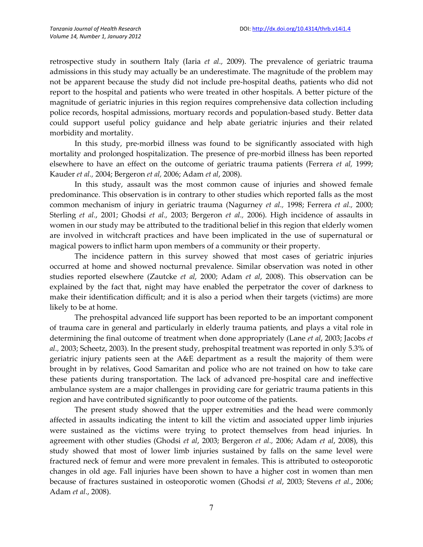retrospective study in southern Italy (Iaria *et al.,* 2009). The prevalence of geriatric trauma admissions in this study may actually be an underestimate. The magnitude of the problem may not be apparent because the study did not include pre-hospital deaths, patients who did not report to the hospital and patients who were treated in other hospitals. A better picture of the magnitude of geriatric injuries in this region requires comprehensive data collection including police records, hospital admissions, mortuary records and population-based study. Better data could support useful policy guidance and help abate geriatric injuries and their related morbidity and mortality.

In this study, pre-morbid illness was found to be significantly associated with high mortality and prolonged hospitalization. The presence of pre-morbid illness has been reported elsewhere to have an effect on the outcome of geriatric trauma patients (Ferrera *et al,* 1999; Kauder *et al.,* 2004; Bergeron *et al,* 2006; Adam *et al*, 2008).

In this study, assault was the most common cause of injuries and showed female predominance. This observation is in contrary to other studies which reported falls as the most common mechanism of injury in geriatric trauma (Nagurney *et al.,* 1998; Ferrera *et al.,* 2000; Sterling *et al.*, 2001; Ghodsi *et al.,* 2003; Bergeron *et al.,* 2006). High incidence of assaults in women in our study may be attributed to the traditional belief in this region that elderly women are involved in witchcraft practices and have been implicated in the use of supernatural or magical powers to inflict harm upon members of a community or their property.

The incidence pattern in this survey showed that most cases of geriatric injuries occurred at home and showed nocturnal prevalence. Similar observation was noted in other studies reported elsewhere (Zautcke *et al,* 2000; Adam *et al*, 2008). This observation can be explained by the fact that, night may have enabled the perpetrator the cover of darkness to make their identification difficult; and it is also a period when their targets (victims) are more likely to be at home.

The prehospital advanced life support has been reported to be an important component of trauma care in general and particularly in elderly trauma patients, and plays a vital role in determining the final outcome of treatment when done appropriately (Lane *et al*, 2003; Jacobs *et al.,* 2003; Scheetz, 2003). In the present study, prehospital treatment was reported in only 5.3% of geriatric injury patients seen at the A&E department as a result the majority of them were brought in by relatives, Good Samaritan and police who are not trained on how to take care these patients during transportation. The lack of advanced pre-hospital care and ineffective ambulance system are a major challenges in providing care for geriatric trauma patients in this region and have contributed significantly to poor outcome of the patients.

The present study showed that the upper extremities and the head were commonly affected in assaults indicating the intent to kill the victim and associated upper limb injuries were sustained as the victims were trying to protect themselves from head injuries. In agreement with other studies (Ghodsi *et al*, 2003; Bergeron *et al.,* 2006; Adam *et al*, 2008), this study showed that most of lower limb injuries sustained by falls on the same level were fractured neck of femur and were more prevalent in females. This is attributed to osteoporotic changes in old age. Fall injuries have been shown to have a higher cost in women than men because of fractures sustained in osteoporotic women (Ghodsi *et al*, 2003; Stevens *et al.*, 2006; Adam *et al.*, 2008).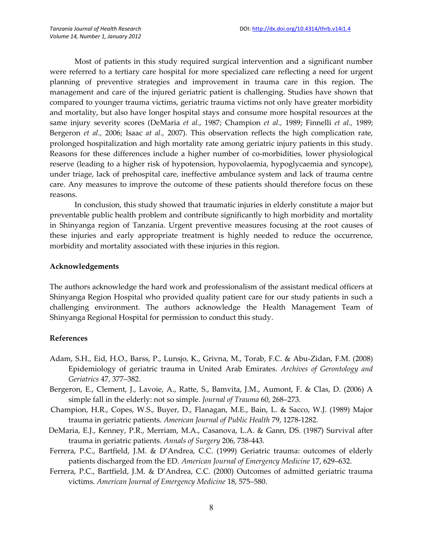Most of patients in this study required surgical intervention and a significant number were referred to a tertiary care hospital for more specialized care reflecting a need for urgent planning of preventive strategies and improvement in trauma care in this region. The management and care of the injured geriatric patient is challenging. Studies have shown that compared to younger trauma victims, geriatric trauma victims not only have greater morbidity and mortality, but also have longer hospital stays and consume more hospital resources at the same injury severity scores (DeMaria *et al.*, 1987; Champion *et al.,* 1989; Finnelli *et al.,* 1989; Bergeron *et al.,* 2006; Isaac *at al.,* 2007). This observation reflects the high complication rate, prolonged hospitalization and high mortality rate among geriatric injury patients in this study. Reasons for these differences include a higher number of co-morbidities, lower physiological reserve (leading to a higher risk of hypotension, hypovolaemia, hypoglycaemia and syncope), under triage, lack of prehospital care, ineffective ambulance system and lack of trauma centre care. Any measures to improve the outcome of these patients should therefore focus on these reasons.

In conclusion, this study showed that traumatic injuries in elderly constitute a major but preventable public health problem and contribute significantly to high morbidity and mortality in Shinyanga region of Tanzania. Urgent preventive measures focusing at the root causes of these injuries and early appropriate treatment is highly needed to reduce the occurrence, morbidity and mortality associated with these injuries in this region.

#### **Acknowledgements**

The authors acknowledge the hard work and professionalism of the assistant medical officers at Shinyanga Region Hospital who provided quality patient care for our study patients in such a challenging environment. The authors acknowledge the Health Management Team of Shinyanga Regional Hospital for permission to conduct this study.

#### **References**

- Adam, S.H., Eid, H.O., Barss, P., Lunsjo, K., Grivna, M., Torab, F.C. & Abu-Zidan, F.M. (2008) Epidemiology of geriatric trauma in United Arab Emirates. *Archives of Gerontology and Geriatrics* 47, 377–382.
- Bergeron, E., Clement, J., Lavoie, A., Ratte, S., Bamvita, J.M., Aumont, F. & Clas, D. (2006) A simple fall in the elderly: not so simple. *Journal of Trauma* 60, 268–273.
- Champion, H.R., Copes, W.S., Buyer, D., Flanagan, M.E., Bain, L. & Sacco, W.J. (1989) Major trauma in geriatric patients. *American Journal of Public Health* 79, 1278-1282.
- DeMaria, E.J., Kenney, P.R., Merriam, M.A., Casanova, L.A. & Gann, DS. (1987) Survival after trauma in geriatric patients. *Annals of Surgery* 206, 738-443.
- Ferrera, P.C., Bartfield, J.M. & D'Andrea, C.C. (1999) Geriatric trauma: outcomes of elderly patients discharged from the ED. *American Journal of Emergency Medicine* 17, 629–632.
- Ferrera, P.C., Bartfield, J.M. & D'Andrea, C.C. (2000) Outcomes of admitted geriatric trauma victims. *American Journal of Emergency Medicine* 18, 575–580.